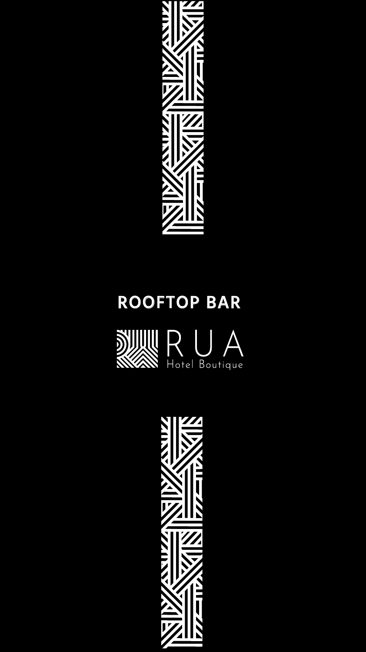

# ROOFTOP BAR



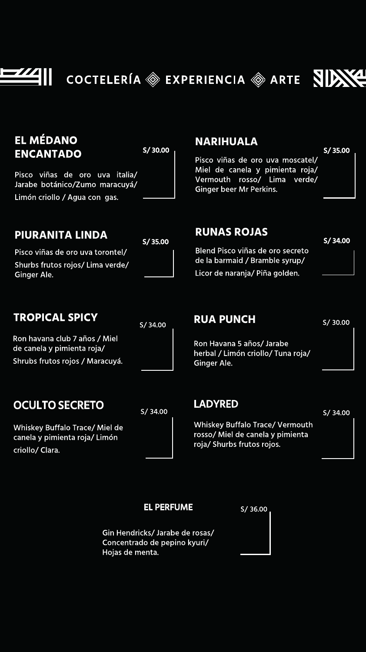# COCTELERÍA © EXPERIENCIA © ARTE SIDANCI

# **EL MÉDANO ENCANTADO**

S/30.00

Pisco viñas de oro uva italia/ Jarabe botánico/Zumo maracuyá/ Limón criollo / Agua con gas.

#### **NARIHUALA**

S/35.00

Pisco viñas de oro uva moscatel/ Miel de canela y pimienta roja/ Vermouth rosso/ Lima verde/ **Ginger beer Mr Perkins.** 

#### **RUNAS ROJAS**

S/34.00

Blend Pisco viñas de oro secreto de la barmaid / Bramble syrup/ Licor de naranja/ Piña golden.

### **TROPICAL SPICY**

S/34.00

Ron havana club 7 años / Miel de canela y pimienta roja/ Shrubs frutos rojos / Maracuyá.

### **PIURANITA LINDA**

 $S/35.00$ 

Pisco viñas de oro uva torontel/

Shurbs frutos rojos/ Lima verde/ **Ginger Ale.** 

#### **RUA PUNCH**

S/30.00

Ron Havana 5 años/ Jarabe herbal / Limón criollo/ Tuna roja/ **Ginger Ale.** 

## OCULTO SECRETO

S/34.00

**Whiskey Buffalo Trace/ Miel de** canela y pimienta roja/Limón criollo/ Clara.

#### LADYRED

 $S/34.00$ 

**Whiskey Buffalo Trace/ Vermouth** rosso/ Miel de canela y pimienta roja/ Shurbs frutos rojos.

#### EL PERFUME

 $S/36.00$ 

Gin Hendricks/ Jarabe de rosas/ Concentrado de pepino kyuri/ Hojas de menta.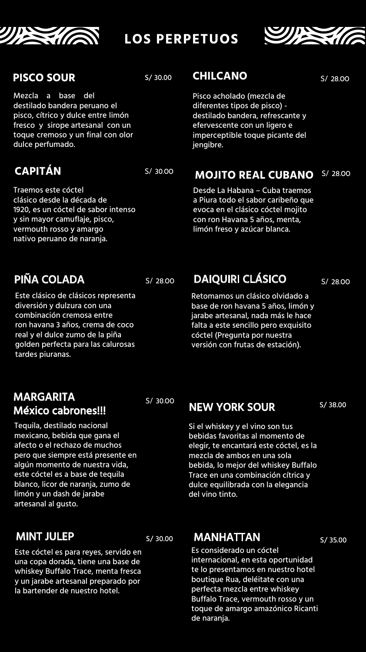





#### **PISCO SOUR**

S/30.00

Mezcla base del  $\overline{a}$ destilado bandera peruano el pisco, cítrico y dulce entre limón fresco y sirope artesanal con un toque cremoso y un final con olor dulce perfumado.

# **CAPITÁN**

S/ 30.00

Traemos este cóctel clásico desde la década de 1920, es un cóctel de sabor intenso y sin mayor camuflaje, pisco, vermouth rosso y amargo nativo peruano de naranja.

#### **CHILCANO**

S/ 28.00

Pisco acholado (mezcla de diferentes tipos de pisco) destilado bandera, refrescante y efervescente con un ligero e imperceptible toque picante del jengibre.

#### **MOJITO REAL CUBANO** S/ 28.00

Desde La Habana - Cuba traemos a Piura todo el sabor caribeño que evoca en el clásico cóctel mojito con ron Havana 5 años, menta, limón freso y azúcar blanca.

# PIÑA COLADA

S/ 28.00

S/ 30.00

S/28.00

Este clásico de clásicos representa diversión y dulzura con una combinación cremosa entre ron havana 3 años, crema de coco real y el dulce zumo de la piña golden perfecta para las calurosas tardes piuranas.

Retomamos un clásico olvidado a base de ron havana 5 años, limón y jarabe artesanal, nada más le hace falta a este sencillo pero exquisito cóctel (Pregunta por nuestra versión con frutas de estación).

**DAIQUIRI CLÁSICO** 

### **MARGARITA México cabrones!!!**

Tequila, destilado nacional mexicano, bebida que gana el afecto o el rechazo de muchos pero que siempre está presente en algún momento de nuestra vida, este cóctel es a base de tequila blanco, licor de naranja, zumo de limón y un dash de jarabe artesanal al gusto.

### **MINT JULEP**

S/30.00

Este cóctel es para reyes, servido en una copa dorada, tiene una base de whiskey Buffalo Trace, menta fresca y un jarabe artesanal preparado por

**NEW YORK SOUR** 

S/38.00

Si el whiskey y el vino son tus bebidas favoritas al momento de elegir, te encantará este cóctel, es la mezcla de ambos en una sola bebida, lo mejor del whiskey Buffalo Trace en una combinación cítrica y dulce equilibrada con la elegancia del vino tinto.

#### **MANHATTAN**

 $S/35.00$ 

Es considerado un cóctel internacional, en esta oportunidad te lo presentamos en nuestro hotel boutique Rua, deléitate con una perfecta mezcla entre whiskey Buffalo Trace, vermouth rosso y un

#### la bartender de nuestro hotel.

toque de amargo amazónico Ricanti

de naranja.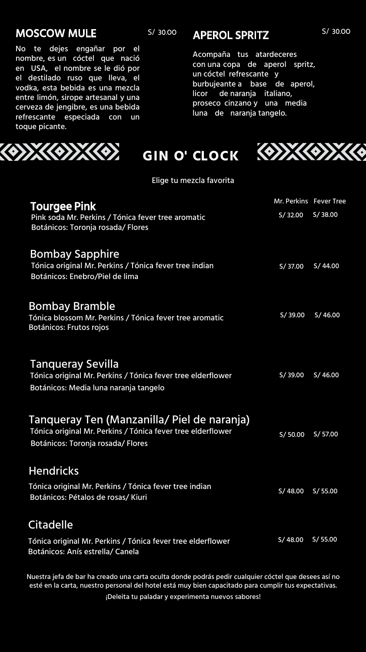#### **MOSCOW MULE**

S/ 30.00

No te dejes engañar por el nombre, es un cóctel que nació en USA, el nombre se le dió por el destilado ruso que lleva, el vodka, esta bebida es una mezcla entre limón, sirope artesanal y una cerveza de jengibre, es una bebida refrescante especiada con un toque picante.

#### **APEROL SPRITZ**

Acompaña tus atardeceres con una copa de aperol spritz, un cóctel refrescante y burbujeante a base de aperol, licor de naranja italiano, proseco cinzano y una media luna de naranja tangelo.

# **OXOXO GINO CLOCK OXOXIC**

Elige tu mezcla favorita

#### **Tourgee Pink**

Pink soda Mr. Perkins / Tónica fever tree aromatic Botánicos: Toronja rosada/ Flores

#### **Bombay Sapphire**

Tónica original Mr. Perkins / Tónica fever tree indian Botánicos: Enebro/Piel de lima

Mr. Perkins Fever Tree  $S/32.00 S/38.00$ 

S/ 30.00

S/44.00 S/37.00

| <b>Bombay Bramble</b><br>Tónica blossom Mr. Perkins / Tónica fever tree aromatic<br><b>Botánicos: Frutos rojos</b>                             | S/39.00 | S/46.00 |
|------------------------------------------------------------------------------------------------------------------------------------------------|---------|---------|
| <b>Tanqueray Sevilla</b><br>Tónica original Mr. Perkins / Tónica fever tree elderflower<br>Botánicos: Media luna naranja tangelo               | S/39.00 | S/46.00 |
| Tanqueray Ten (Manzanilla/ Piel de naranja)<br>Tónica original Mr. Perkins / Tónica fever tree elderflower<br>Botánicos: Toronja rosada/Flores | S/50.00 | S/57.00 |
| <b>Hendricks</b><br>Tónica original Mr. Perkins / Tónica fever tree indian<br>Botánicos: Pétalos de rosas/Kiuri                                | S/48.00 | S/55.00 |
| <b>Citadelle</b><br>Tónica original Mr. Perkins / Tónica fever tree elderflower<br>Botánicos: Anís estrella/ Canela                            | S/48.00 | S/55.00 |

Nuestra jefa de bar ha creado una carta oculta donde podrás pedir cualquier cóctel que desees así no

#### esté en la carta, nuestro personal del hotel está muy bien capacitado para cumplir tus expectativas.

¡Deleita tu paladar y experimenta nuevos sabores!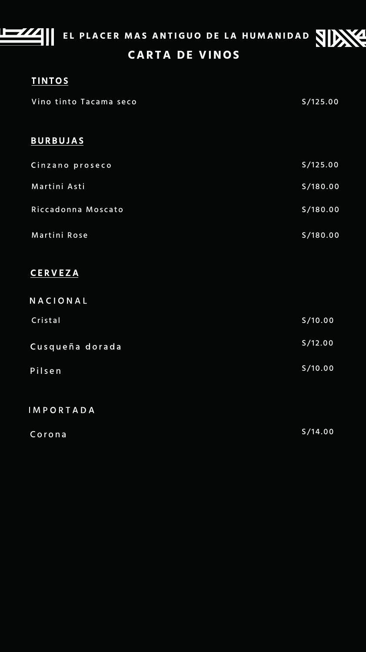



#### **CARTA DE VINOS**

#### **TINTOS**



| Vino tinto Tacama seco | S/125.00 |
|------------------------|----------|
|                        |          |

#### **BURBUJAS**

| Cinzano proseco    | S/125.00 |
|--------------------|----------|
| Martini Asti       | S/180.00 |
| Riccadonna Moscato | S/180.00 |
| Martini Rose       | S/180.00 |

| NACIONAL         |         |
|------------------|---------|
| Cristal          | S/10.00 |
| Cusqueña dorada  | S/12.00 |
| Pilsen           | S/10.00 |
| <b>IMPORTADA</b> |         |
| Corona           | S/14.00 |